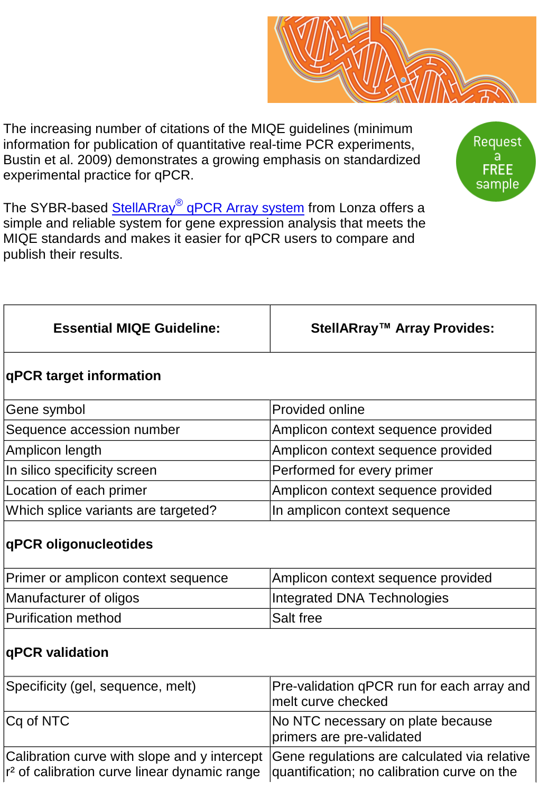The increasing number of citations of the MIQE guidelines (minimum information for publication of quantitative real-time PCR experiments, Bustin et al. 2009) demonstrates a growing emphasis on standardized experimental practice for qPCR.

The SYBR-based **StellARray<sup>®</sup> qPCR Array system** from Lonza offers a simple and reliable system for gene expression analysis that meets the MIQE standards and makes it easier for qPCR users to compare and publish their results.

| <b>Essential MIQE Guideline:</b>    | StellARray™ Array Provides:        |
|-------------------------------------|------------------------------------|
| qPCR target information             |                                    |
| Gene symbol                         | Provided online                    |
| Sequence accession number           | Amplicon context sequence provided |
| Amplicon length                     | Amplicon context sequence provided |
| In silico specificity screen        | Performed for every primer         |
| Location of each primer             | Amplicon context sequence provided |
| Which splice variants are targeted? | In amplicon context sequence       |
| qPCR oligonucleotides               |                                    |
| Primer or amplicon context sequence | Amplicon context sequence provided |
| Manufacturer of oligos              | <b>Integrated DNA Technologies</b> |

## **qPCR validation**

Purification method Salt free

| Specificity (gel, sequence, melt)                                                                                                                                                                 | Pre-validation qPCR run for each array and<br>melt curve checked |
|---------------------------------------------------------------------------------------------------------------------------------------------------------------------------------------------------|------------------------------------------------------------------|
| $Cq$ of NTC                                                                                                                                                                                       | No NTC necessary on plate because<br>primers are pre-validated   |
| Calibration curve with slope and y intercept Gene regulations are calculated via relative<br>$r^2$ of calibration curve linear dynamic range $\alpha$ quantification; no calibration curve on the |                                                                  |



sample

Request a **FREE**